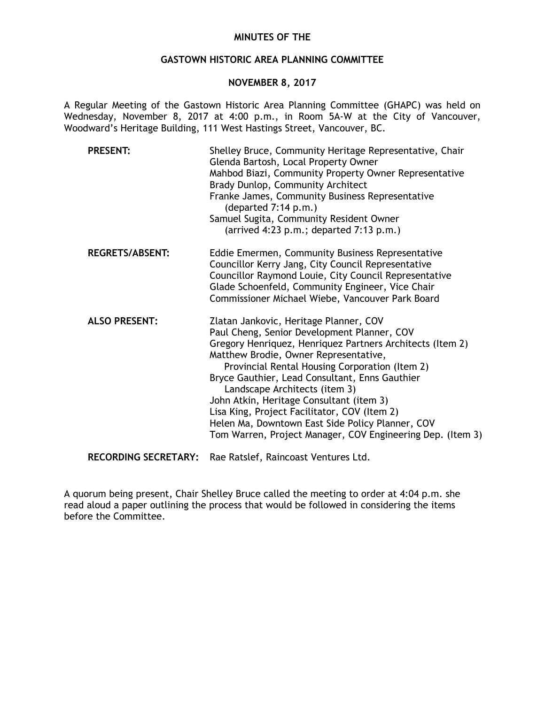### **MINUTES OF THE**

#### **GASTOWN HISTORIC AREA PLANNING COMMITTEE**

#### **NOVEMBER 8, 2017**

A Regular Meeting of the Gastown Historic Area Planning Committee (GHAPC) was held on Wednesday, November 8, 2017 at 4:00 p.m., in Room 5A-W at the City of Vancouver, Woodward's Heritage Building, 111 West Hastings Street, Vancouver, BC.

| <b>PRESENT:</b>        | Shelley Bruce, Community Heritage Representative, Chair<br>Glenda Bartosh, Local Property Owner<br>Mahbod Biazi, Community Property Owner Representative<br>Brady Dunlop, Community Architect<br>Franke James, Community Business Representative<br>(departed 7:14 p.m.)<br>Samuel Sugita, Community Resident Owner<br>(arrived $4:23$ p.m.; departed $7:13$ p.m.)                                                                                                                                                                             |
|------------------------|------------------------------------------------------------------------------------------------------------------------------------------------------------------------------------------------------------------------------------------------------------------------------------------------------------------------------------------------------------------------------------------------------------------------------------------------------------------------------------------------------------------------------------------------|
| <b>REGRETS/ABSENT:</b> | Eddie Emermen, Community Business Representative<br>Councillor Kerry Jang, City Council Representative<br>Councillor Raymond Louie, City Council Representative<br>Glade Schoenfeld, Community Engineer, Vice Chair<br>Commissioner Michael Wiebe, Vancouver Park Board                                                                                                                                                                                                                                                                        |
| <b>ALSO PRESENT:</b>   | Zlatan Jankovic, Heritage Planner, COV<br>Paul Cheng, Senior Development Planner, COV<br>Gregory Henriquez, Henriquez Partners Architects (Item 2)<br>Matthew Brodie, Owner Representative,<br>Provincial Rental Housing Corporation (Item 2)<br>Bryce Gauthier, Lead Consultant, Enns Gauthier<br>Landscape Architects (item 3)<br>John Atkin, Heritage Consultant (item 3)<br>Lisa King, Project Facilitator, COV (Item 2)<br>Helen Ma, Downtown East Side Policy Planner, COV<br>Tom Warren, Project Manager, COV Engineering Dep. (Item 3) |
|                        |                                                                                                                                                                                                                                                                                                                                                                                                                                                                                                                                                |

**RECORDING SECRETARY:** Rae Ratslef, Raincoast Ventures Ltd.

A quorum being present, Chair Shelley Bruce called the meeting to order at 4:04 p.m. she read aloud a paper outlining the process that would be followed in considering the items before the Committee.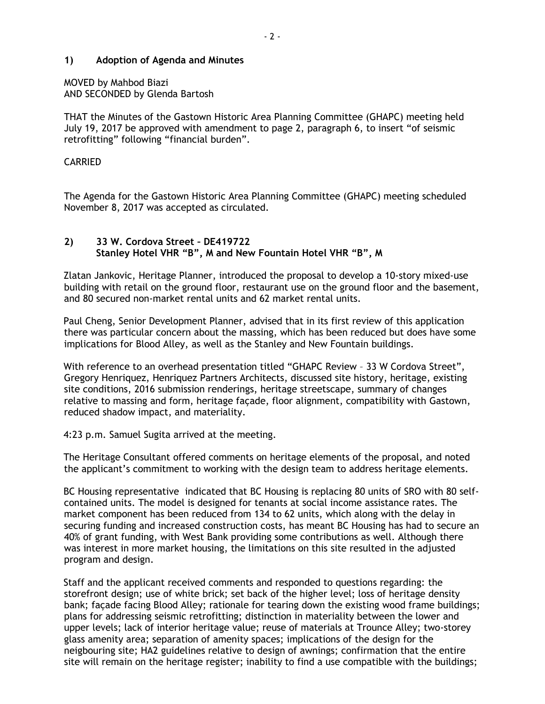### **1) Adoption of Agenda and Minutes**

MOVED by Mahbod Biazi AND SECONDED by Glenda Bartosh

THAT the Minutes of the Gastown Historic Area Planning Committee (GHAPC) meeting held July 19, 2017 be approved with amendment to page 2, paragraph 6, to insert "of seismic retrofitting" following "financial burden".

## CARRIED

The Agenda for the Gastown Historic Area Planning Committee (GHAPC) meeting scheduled November 8, 2017 was accepted as circulated.

## **2) 33 W. Cordova Street – DE419722 Stanley Hotel VHR "B", M and New Fountain Hotel VHR "B", M**

Zlatan Jankovic, Heritage Planner, introduced the proposal to develop a 10-story mixed-use building with retail on the ground floor, restaurant use on the ground floor and the basement, and 80 secured non-market rental units and 62 market rental units.

Paul Cheng, Senior Development Planner, advised that in its first review of this application there was particular concern about the massing, which has been reduced but does have some implications for Blood Alley, as well as the Stanley and New Fountain buildings.

With reference to an overhead presentation titled "GHAPC Review - 33 W Cordova Street", Gregory Henriquez, Henriquez Partners Architects, discussed site history, heritage, existing site conditions, 2016 submission renderings, heritage streetscape, summary of changes relative to massing and form, heritage façade, floor alignment, compatibility with Gastown, reduced shadow impact, and materiality.

4:23 p.m. Samuel Sugita arrived at the meeting.

The Heritage Consultant offered comments on heritage elements of the proposal, and noted the applicant's commitment to working with the design team to address heritage elements.

BC Housing representative indicated that BC Housing is replacing 80 units of SRO with 80 selfcontained units. The model is designed for tenants at social income assistance rates. The market component has been reduced from 134 to 62 units, which along with the delay in securing funding and increased construction costs, has meant BC Housing has had to secure an 40% of grant funding, with West Bank providing some contributions as well. Although there was interest in more market housing, the limitations on this site resulted in the adjusted program and design.

Staff and the applicant received comments and responded to questions regarding: the storefront design; use of white brick; set back of the higher level; loss of heritage density bank; façade facing Blood Alley; rationale for tearing down the existing wood frame buildings; plans for addressing seismic retrofitting; distinction in materiality between the lower and upper levels; lack of interior heritage value; reuse of materials at Trounce Alley; two-storey glass amenity area; separation of amenity spaces; implications of the design for the neigbouring site; HA2 guidelines relative to design of awnings; confirmation that the entire site will remain on the heritage register; inability to find a use compatible with the buildings;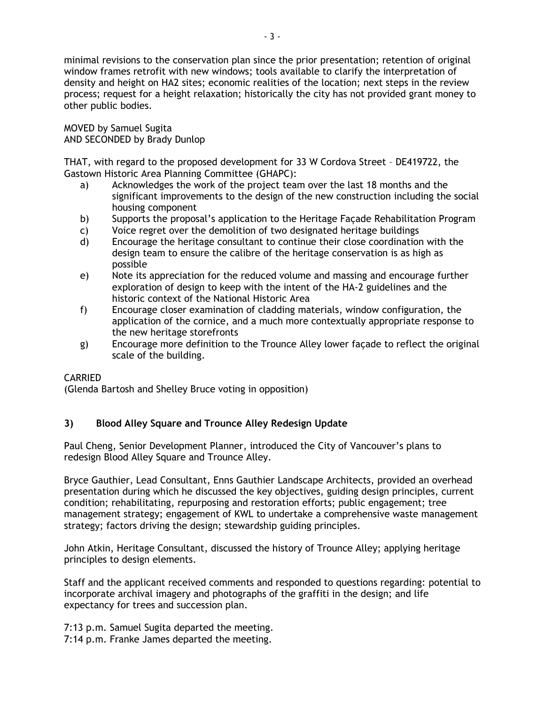minimal revisions to the conservation plan since the prior presentation; retention of original window frames retrofit with new windows; tools available to clarify the interpretation of density and height on HA2 sites; economic realities of the location; next steps in the review process; request for a height relaxation; historically the city has not provided grant money to other public bodies.

MOVED by Samuel Sugita AND SECONDED by Brady Dunlop

THAT, with regard to the proposed development for 33 W Cordova Street – DE419722, the Gastown Historic Area Planning Committee (GHAPC):

- a) Acknowledges the work of the project team over the last 18 months and the significant improvements to the design of the new construction including the social housing component
- b) Supports the proposal's application to the Heritage Façade Rehabilitation Program
- c) Voice regret over the demolition of two designated heritage buildings
- d) Encourage the heritage consultant to continue their close coordination with the design team to ensure the calibre of the heritage conservation is as high as possible
- e) Note its appreciation for the reduced volume and massing and encourage further exploration of design to keep with the intent of the HA-2 guidelines and the historic context of the National Historic Area
- f) Encourage closer examination of cladding materials, window configuration, the application of the cornice, and a much more contextually appropriate response to the new heritage storefronts
- g) Encourage more definition to the Trounce Alley lower façade to reflect the original scale of the building.

### CARRIED

(Glenda Bartosh and Shelley Bruce voting in opposition)

# **3) Blood Alley Square and Trounce Alley Redesign Update**

Paul Cheng, Senior Development Planner, introduced the City of Vancouver's plans to redesign Blood Alley Square and Trounce Alley.

Bryce Gauthier, Lead Consultant, Enns Gauthier Landscape Architects, provided an overhead presentation during which he discussed the key objectives, guiding design principles, current condition; rehabilitating, repurposing and restoration efforts; public engagement; tree management strategy; engagement of KWL to undertake a comprehensive waste management strategy; factors driving the design; stewardship guiding principles.

John Atkin, Heritage Consultant, discussed the history of Trounce Alley; applying heritage principles to design elements.

Staff and the applicant received comments and responded to questions regarding: potential to incorporate archival imagery and photographs of the graffiti in the design; and life expectancy for trees and succession plan.

7:13 p.m. Samuel Sugita departed the meeting.

7:14 p.m. Franke James departed the meeting.